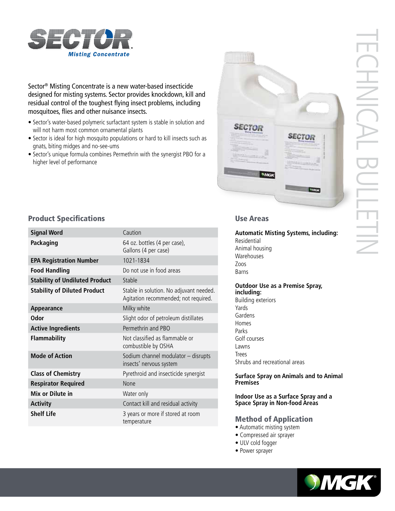

Sector® Misting Concentrate is a new water-based insecticide designed for misting systems. Sector provides knockdown, kill and residual control of the toughest flying insect problems, including mosquitoes, flies and other nuisance insects.

- Sector's water-based polymeric surfactant system is stable in solution and will not harm most common ornamental plants
- Sector is ideal for high mosquito populations or hard to kill insects such as gnats, biting midges and no-see-ums
- Sector's unique formula combines Permethrin with the synergist PBO for a higher level of performance



# TECHNICAL BULLETIN HNICA

# **Product Specifications Exercise Areas** Use Areas

| <b>Signal Word</b>                    | Caution                                                                         |
|---------------------------------------|---------------------------------------------------------------------------------|
| Packaging                             | 64 oz. bottles (4 per case),<br>Gallons (4 per case)                            |
| <b>EPA Registration Number</b>        | 1021-1834                                                                       |
| <b>Food Handling</b>                  | Do not use in food areas                                                        |
| <b>Stability of Undiluted Product</b> | Stable                                                                          |
| <b>Stability of Diluted Product</b>   | Stable in solution. No adjuvant needed.<br>Agitation recommended; not required. |
| Appearance                            | Milky white                                                                     |
| <b>Odor</b>                           | Slight odor of petroleum distillates                                            |
| <b>Active Ingredients</b>             | Permethrin and PBO                                                              |
| <b>Flammability</b>                   | Not classified as flammable or<br>combustible by OSHA                           |
| <b>Mode of Action</b>                 | Sodium channel modulator - disrupts<br>insects' nervous system                  |
| <b>Class of Chemistry</b>             | Pyrethroid and insecticide synergist                                            |
| <b>Respirator Required</b>            | None                                                                            |
| Mix or Dilute in                      | Water only                                                                      |
| <b>Activity</b>                       | Contact kill and residual activity                                              |
| <b>Shelf Life</b>                     | 3 years or more if stored at room<br>temperature                                |

**Automatic Misting Systems, including:** Residential Animal housing Warehouses Zoos Barns

**Outdoor Use as a Premise Spray, including:** Building exteriors Yards Gardens

Homes Parks Golf courses Lawns Trees Shrubs and recreational areas

**Surface Spray on Animals and to Animal Premises**

**Indoor Use as a Surface Spray and a Space Spray in Non-food Areas**

# Method of Application

- Automatic misting system
- Compressed air sprayer
- ULV cold fogger
- Power sprayer